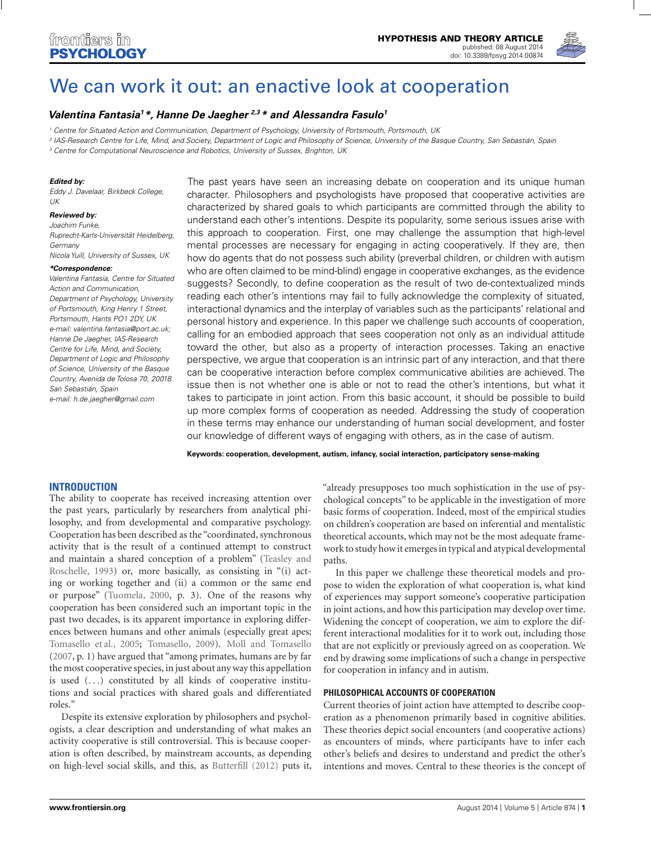

# [We can work it out: an enactive look at cooperation](http://www.frontiersin.org/journal/10.3389/fpsyg.2014.00874/abstract)

# *[Valentina Fantasia1](http://community.frontiersin.org/people/u/132495)\*, [Hanne De Jaegher](http://community.frontiersin.org/people/u/47918) 2,3 \* and [Alessandra Fasulo1](http://community.frontiersin.org/people/u/141853)*

<sup>1</sup> Centre for Situated Action and Communication, Department of Psychology, University of Portsmouth, Portsmouth, UK

<sup>2</sup> IAS-Research Centre for Life, Mind, and Society, Department of Logic and Philosophy of Science, University of the Basque Country, San Sebastián, Spain

<sup>3</sup> Centre for Computational Neuroscience and Robotics, University of Sussex, Brighton, UK

#### *Edited by:*

Eddy J. Davelaar, Birkbeck College, UK

#### *Reviewed by:*

Joachim Funke, Ruprecht-Karls-Universität Heidelberg, Germany Nicola Yuill, University of Sussex, UK

#### *\*Correspondence:*

Valentina Fantasia, Centre for Situated Action and Communication, Department of Psychology, University of Portsmouth, King Henry 1 Street, Portsmouth, Hants PO1 2DY, UK e-mail: [valentina.fantasia@port.ac.uk;](mailto:valentina.fantasia@port.ac.uk) Hanne De Jaegher, IAS-Research Centre for Life, Mind, and Society, Department of Logic and Philosophy of Science, University of the Basque Country, Avenida de Tolosa 70, 20018 San Sebastián, Spain e-mail: [h.de.jaegher@gmail.com](mailto:h.de.jaegher@gmail.com)

The past years have seen an increasing debate on cooperation and its unique human character. Philosophers and psychologists have proposed that cooperative activities are characterized by shared goals to which participants are committed through the ability to understand each other's intentions. Despite its popularity, some serious issues arise with this approach to cooperation. First, one may challenge the assumption that high-level mental processes are necessary for engaging in acting cooperatively. If they are, then how do agents that do not possess such ability (preverbal children, or children with autism who are often claimed to be mind-blind) engage in cooperative exchanges, as the evidence suggests? Secondly, to define cooperation as the result of two de-contextualized minds reading each other's intentions may fail to fully acknowledge the complexity of situated, interactional dynamics and the interplay of variables such as the participants' relational and personal history and experience. In this paper we challenge such accounts of cooperation, calling for an embodied approach that sees cooperation not only as an individual attitude toward the other, but also as a property of interaction processes. Taking an enactive perspective, we argue that cooperation is an intrinsic part of any interaction, and that there can be cooperative interaction before complex communicative abilities are achieved. The issue then is not whether one is able or not to read the other's intentions, but what it takes to participate in joint action. From this basic account, it should be possible to build up more complex forms of cooperation as needed. Addressing the study of cooperation in these terms may enhance our understanding of human social development, and foster our knowledge of different ways of engaging with others, as in the case of autism.

**Keywords: cooperation, development, autism, infancy, social interaction, participatory sense-making**

# **INTRODUCTION**

The ability to cooperate has received increasing attention over the past years, particularly by researchers from analytical philosophy, and from developmental and comparative psychology. Cooperation has been described as the "coordinated, synchronous activity that is the result of a continued attempt to construct and mai[ntain a shared conception of a problem" \(](#page-9-0)Teasley and Roschelle, [1993\)](#page-9-0) or, more basically, as consisting in "(i) acting or working together and (ii) a common or the same end or purpose" [\(Tuomela, 2000](#page-10-0), p. 3). One of the reasons why cooperation has been considered such an important topic in the past two decades, is its apparent importance in exploring differences between humans and other animals (especially great apes; [Tomasello et al., 2005](#page-10-0); [Tomasello](#page-10-0), [2009](#page-10-0)). [Moll and Tomasello](#page-9-0) [\(2007](#page-9-0), p. 1) have argued that "among primates, humans are by far the most cooperative species, in just about any way this appellation is used (...) constituted by all kinds of cooperative institutions and social practices with shared goals and differentiated roles."

Despite its extensive exploration by philosophers and psychologists, a clear description and understanding of what makes an activity cooperative is still controversial. This is because cooperation is often described, by mainstream accounts, as depending on high-level social skills, and this, as [Butterfill](#page-8-0) [\(2012\)](#page-8-0) puts it, "already presupposes too much sophistication in the use of psychological concepts" to be applicable in the investigation of more basic forms of cooperation. Indeed, most of the empirical studies on children's cooperation are based on inferential and mentalistic theoretical accounts, which may not be the most adequate framework to study how it emerges in typical and atypical developmental paths.

In this paper we challenge these theoretical models and propose to widen the exploration of what cooperation is, what kind of experiences may support someone's cooperative participation in joint actions, and how this participation may develop over time. Widening the concept of cooperation, we aim to explore the different interactional modalities for it to work out, including those that are not explicitly or previously agreed on as cooperation. We end by drawing some implications of such a change in perspective for cooperation in infancy and in autism.

## **PHILOSOPHICAL ACCOUNTS OF COOPERATION**

Current theories of joint action have attempted to describe cooperation as a phenomenon primarily based in cognitive abilities. These theories depict social encounters (and cooperative actions) as encounters of minds, where participants have to infer each other's beliefs and desires to understand and predict the other's intentions and moves. Central to these theories is the concept of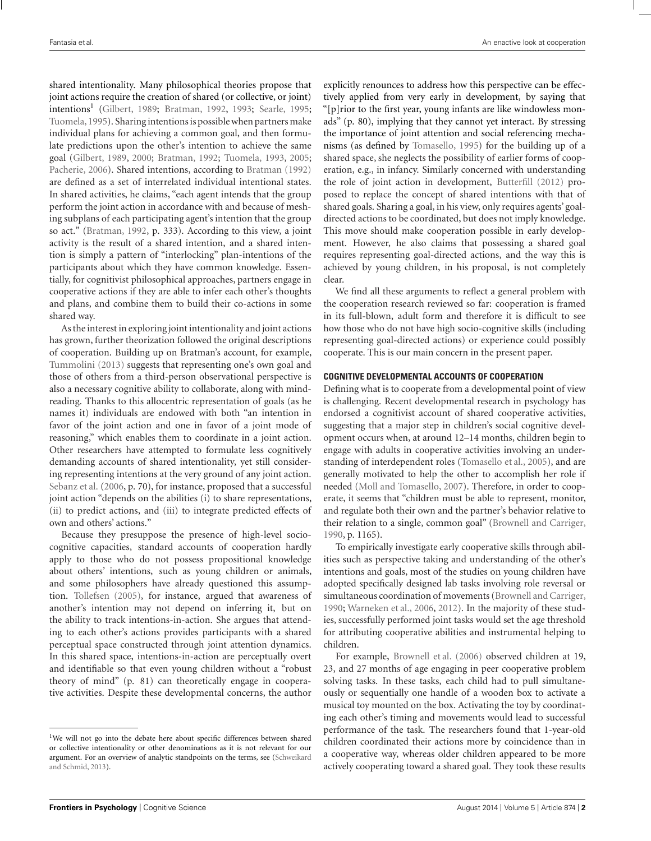shared intentionality. Many philosophical theories propose that joint actions require the creation of shared (or collective, or joint) intentions<sup>1</sup> [\(Gilbert](#page-8-0), [1989;](#page-8-0) [Bratman](#page-8-0), [1992](#page-8-0), [1993;](#page-8-0) [Searle, 1995;](#page-9-0) [Tuomela](#page-10-0),[1995\)](#page-10-0). Sharing intentions is possible when partners make individual plans for achieving a common goal, and then formulate predictions upon the other's intention to achieve the same goal [\(Gilbert, 1989](#page-8-0), [2000;](#page-8-0) [Bratman, 1992](#page-8-0); [Tuomela](#page-10-0), [1993](#page-10-0), [2005;](#page-10-0) [Pacherie](#page-9-0), [2006](#page-9-0)). Shared intentions, according to [Bratman](#page-8-0) [\(1992](#page-8-0)) are defined as a set of interrelated individual intentional states. In shared activities, he claims, "each agent intends that the group perform the joint action in accordance with and because of meshing subplans of each participating agent's intention that the group so act." [\(Bratman, 1992,](#page-8-0) p. 333). According to this view, a joint activity is the result of a shared intention, and a shared intention is simply a pattern of "interlocking" plan-intentions of the participants about which they have common knowledge. Essentially, for cognitivist philosophical approaches, partners engage in cooperative actions if they are able to infer each other's thoughts and plans, and combine them to build their co-actions in some shared way.

As the interest in exploring joint intentionality and joint actions has grown, further theorization followed the original descriptions of cooperation. Building up on Bratman's account, for example, [Tummolini](#page-10-0) [\(2013\)](#page-10-0) suggests that representing one's own goal and those of others from a third-person observational perspective is also a necessary cognitive ability to collaborate, along with mindreading. Thanks to this allocentric representation of goals (as he names it) individuals are endowed with both "an intention in favor of the joint action and one in favor of a joint mode of reasoning," which enables them to coordinate in a joint action. Other researchers have attempted to formulate less cognitively demanding accounts of shared intentionality, yet still considering representing intentions at the very ground of any joint action. [Sebanz et al.](#page-9-0) [\(2006](#page-9-0), p. 70), for instance, proposed that a successful joint action "depends on the abilities (i) to share representations, (ii) to predict actions, and (iii) to integrate predicted effects of own and others' actions."

Because they presuppose the presence of high-level sociocognitive capacities, standard accounts of cooperation hardly apply to those who do not possess propositional knowledge about others' intentions, such as young children or animals, and some philosophers have already questioned this assumption. [Tollefsen](#page-10-0) [\(2005\)](#page-10-0), for instance, argued that awareness of another's intention may not depend on inferring it, but on the ability to track intentions-in-action. She argues that attending to each other's actions provides participants with a shared perceptual space constructed through joint attention dynamics. In this shared space, intentions-in-action are perceptually overt and identifiable so that even young children without a "robust theory of mind" (p. 81) can theoretically engage in cooperative activities. Despite these developmental concerns, the author explicitly renounces to address how this perspective can be effectively applied from very early in development, by saying that "[p]rior to the first year, young infants are like windowless monads" (p. 80), implying that they cannot yet interact. By stressing the importance of joint attention and social referencing mechanisms (as defined by [Tomasello, 1995](#page-10-0)) for the building up of a shared space, she neglects the possibility of earlier forms of cooperation, e.g., in infancy. Similarly concerned with understanding the role of joint action in development, [Butterfill](#page-8-0) [\(2012\)](#page-8-0) proposed to replace the concept of shared intentions with that of shared goals. Sharing a goal, in his view, only requires agents' goaldirected actions to be coordinated, but does not imply knowledge. This move should make cooperation possible in early development. However, he also claims that possessing a shared goal requires representing goal-directed actions, and the way this is achieved by young children, in his proposal, is not completely clear.

We find all these arguments to reflect a general problem with the cooperation research reviewed so far: cooperation is framed in its full-blown, adult form and therefore it is difficult to see how those who do not have high socio-cognitive skills (including representing goal-directed actions) or experience could possibly cooperate. This is our main concern in the present paper.

#### **COGNITIVE DEVELOPMENTAL ACCOUNTS OF COOPERATION**

Defining what is to cooperate from a developmental point of view is challenging. Recent developmental research in psychology has endorsed a cognitivist account of shared cooperative activities, suggesting that a major step in children's social cognitive development occurs when, at around 12–14 months, children begin to engage with adults in cooperative activities involving an understanding of interdependent roles [\(Tomasello et al.](#page-10-0), [2005\)](#page-10-0), and are generally motivated to help the other to accomplish her role if needed [\(Moll and Tomasello, 2007\)](#page-9-0). Therefore, in order to cooperate, it seems that "children must be able to represent, monitor, and regulate both their own and the partner's behavior relative to their relation to a single, common goal" [\(Brownell and Carriger,](#page-8-0) [1990](#page-8-0), p. 1165).

To empirically investigate early cooperative skills through abilities such as perspective taking and understanding of the other's intentions and goals, most of the studies on young children have adopted specifically designed lab tasks involving role reversal or simultaneous coordination of movements [\(Brownell and Carriger,](#page-8-0) [1990](#page-8-0); [Warneken et al.](#page-10-0), [2006,](#page-10-0) [2012](#page-10-0)). In the majority of these studies, successfully performed joint tasks would set the age threshold for attributing cooperative abilities and instrumental helping to children.

For example, [Brownell et al.](#page-8-0) [\(2006](#page-8-0)) observed children at 19, 23, and 27 months of age engaging in peer cooperative problem solving tasks. In these tasks, each child had to pull simultaneously or sequentially one handle of a wooden box to activate a musical toy mounted on the box. Activating the toy by coordinating each other's timing and movements would lead to successful performance of the task. The researchers found that 1-year-old children coordinated their actions more by coincidence than in a cooperative way, whereas older children appeared to be more actively cooperating toward a shared goal. They took these results

<sup>&</sup>lt;sup>1</sup>We will not go into the debate here about specific differences between shared or collective intentionality or other denominations as it is not relevant for our argument. [For](#page-9-0) [an](#page-9-0) [overview](#page-9-0) [of](#page-9-0) [analytic](#page-9-0) [standpoints](#page-9-0) [on](#page-9-0) [the](#page-9-0) [terms,](#page-9-0) [see](#page-9-0) [\(](#page-9-0)Schweikard and Schmid, [2013\)](#page-9-0).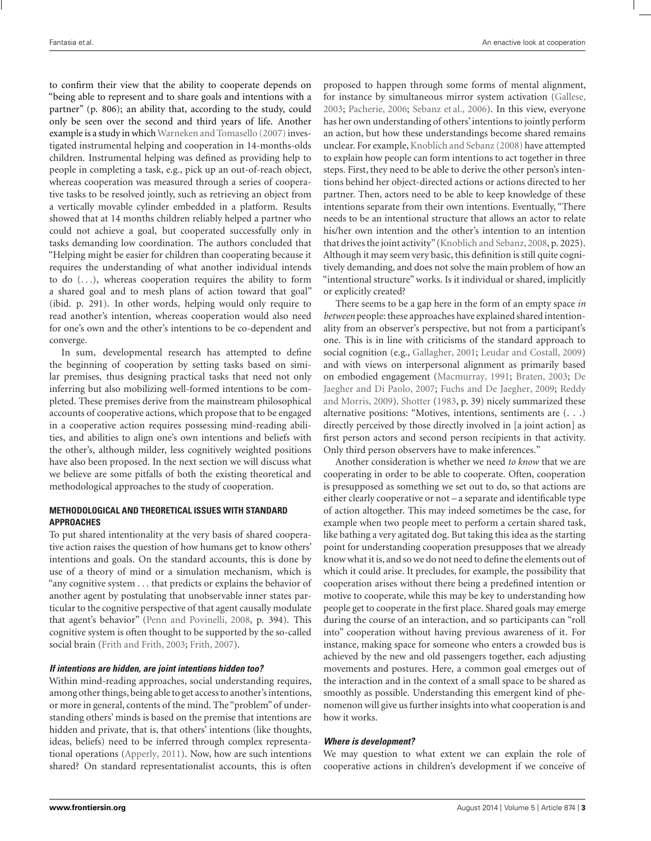to confirm their view that the ability to cooperate depends on "being able to represent and to share goals and intentions with a partner" (p. 806); an ability that, according to the study, could only be seen over the second and third years of life. Another example is a study in which [Warneken and Tomasello](#page-10-0) [\(2007\)](#page-10-0) investigated instrumental helping and cooperation in 14-months-olds children. Instrumental helping was defined as providing help to people in completing a task, e.g., pick up an out-of-reach object, whereas cooperation was measured through a series of cooperative tasks to be resolved jointly, such as retrieving an object from a vertically movable cylinder embedded in a platform. Results showed that at 14 months children reliably helped a partner who could not achieve a goal, but cooperated successfully only in tasks demanding low coordination. The authors concluded that "Helping might be easier for children than cooperating because it requires the understanding of what another individual intends to do  $(...)$ , whereas cooperation requires the ability to form a shared goal and to mesh plans of action toward that goal" (ibid. p. 291). In other words, helping would only require to read another's intention, whereas cooperation would also need for one's own and the other's intentions to be co-dependent and converge.

In sum, developmental research has attempted to define the beginning of cooperation by setting tasks based on similar premises, thus designing practical tasks that need not only inferring but also mobilizing well-formed intentions to be completed. These premises derive from the mainstream philosophical accounts of cooperative actions, which propose that to be engaged in a cooperative action requires possessing mind-reading abilities, and abilities to align one's own intentions and beliefs with the other's, although milder, less cognitively weighted positions have also been proposed. In the next section we will discuss what we believe are some pitfalls of both the existing theoretical and methodological approaches to the study of cooperation.

# **METHODOLOGICAL AND THEORETICAL ISSUES WITH STANDARD APPROACHES**

To put shared intentionality at the very basis of shared cooperative action raises the question of how humans get to know others' intentions and goals. On the standard accounts, this is done by use of a theory of mind or a simulation mechanism, which is "any cognitive system ... that predicts or explains the behavior of another agent by postulating that unobservable inner states particular to the cognitive perspective of that agent causally modulate that agent's behavior" [\(Penn and Povinelli](#page-9-0), [2008](#page-9-0), p. 394). This cognitive system is often thought to be supported by the so-called social brain [\(Frith and Frith, 2003](#page-8-0); [Frith](#page-8-0), [2007\)](#page-8-0).

## *If intentions are hidden, are joint intentions hidden too?*

Within mind-reading approaches, social understanding requires, among other things, being able to get access to another's intentions, or more in general, contents of the mind. The "problem" of understanding others' minds is based on the premise that intentions are hidden and private, that is, that others' intentions (like thoughts, ideas, beliefs) need to be inferred through complex representational operations [\(Apperly](#page-8-0), [2011](#page-8-0)). Now, how are such intentions shared? On standard representationalist accounts, this is often proposed to happen through some forms of mental alignment, for instance by simultaneous mirror system activation [\(Gallese,](#page-8-0) [2003](#page-8-0); [Pacherie, 2006;](#page-9-0) [Sebanz et al., 2006](#page-9-0)). In this view, everyone has her own understanding of others'intentions to jointly perform an action, but how these understandings become shared remains unclear. For example, [Knoblich and Sebanz](#page-9-0) [\(2008](#page-9-0)) have attempted to explain how people can form intentions to act together in three steps. First, they need to be able to derive the other person's intentions behind her object-directed actions or actions directed to her partner. Then, actors need to be able to keep knowledge of these intentions separate from their own intentions. Eventually, "There needs to be an intentional structure that allows an actor to relate his/her own intention and the other's intention to an intention that drives the joint activity" [\(Knoblich and Sebanz, 2008,](#page-9-0) p. 2025). Although it may seem very basic, this definition is still quite cognitively demanding, and does not solve the main problem of how an "intentional structure" works. Is it individual or shared, implicitly or explicitly created?

There seems to be a gap here in the form of an empty space *in between* people: these approaches have explained shared intentionality from an observer's perspective, but not from a participant's one. This is in line with criticisms of the standard approach to social cognition (e.g., [Gallagher, 2001;](#page-8-0) [Leudar and Costall, 2009](#page-9-0)) and with views on interpersonal alignment as primarily based on embodied engage[ment](#page-8-0) [\(Macmurray](#page-9-0)[,](#page-8-0) [1991](#page-9-0)[;](#page-8-0) [Braten, 2003](#page-8-0); De Jaegher and Di Paolo, [2007](#page-8-0); [Fuchs and De Jaegher, 2009;](#page-8-0) Reddy and Morris, [2009](#page-9-0)). [Shotter](#page-9-0) [\(1983](#page-9-0), p. 39) nicely summarized these alternative positions: "Motives, intentions, sentiments are (. . .) directly perceived by those directly involved in [a joint action] as first person actors and second person recipients in that activity. Only third person observers have to make inferences."

Another consideration is whether we need *to know* that we are cooperating in order to be able to cooperate. Often, cooperation is presupposed as something we set out to do, so that actions are either clearly cooperative or not – a separate and identificable type of action altogether. This may indeed sometimes be the case, for example when two people meet to perform a certain shared task, like bathing a very agitated dog. But taking this idea as the starting point for understanding cooperation presupposes that we already know what it is, and so we do not need to define the elements out of which it could arise. It precludes, for example, the possibility that cooperation arises without there being a predefined intention or motive to cooperate, while this may be key to understanding how people get to cooperate in the first place. Shared goals may emerge during the course of an interaction, and so participants can "roll into" cooperation without having previous awareness of it. For instance, making space for someone who enters a crowded bus is achieved by the new and old passengers together, each adjusting movements and postures. Here, a common goal emerges out of the interaction and in the context of a small space to be shared as smoothly as possible. Understanding this emergent kind of phenomenon will give us further insights into what cooperation is and how it works.

# *Where is development?*

We may question to what extent we can explain the role of cooperative actions in children's development if we conceive of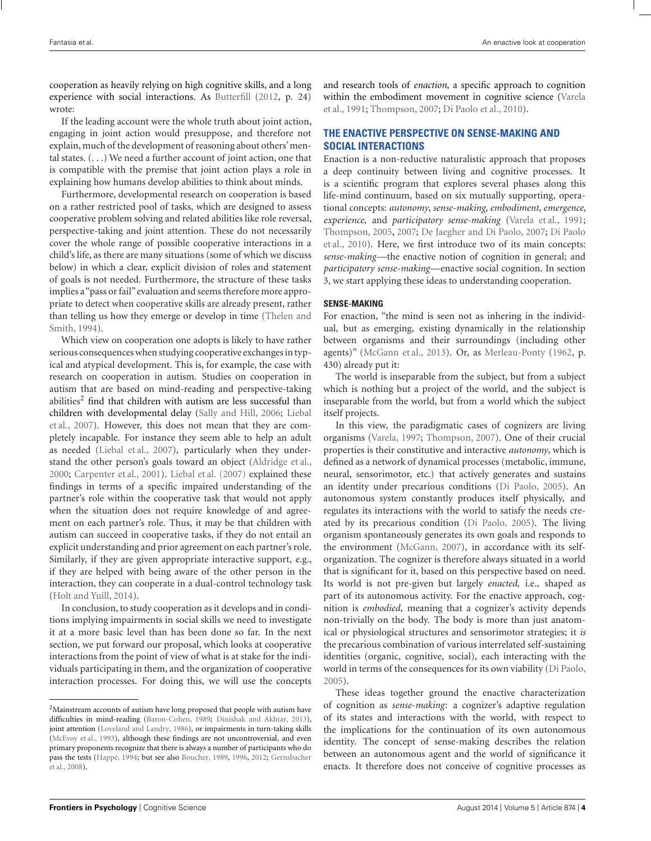cooperation as heavily relying on high cognitive skills, and a long experience with social interactions. As [Butterfill](#page-8-0) [\(2012,](#page-8-0) p. 24) wrote:

If the leading account were the whole truth about joint action, engaging in joint action would presuppose, and therefore not explain, much of the development of reasoning about others'mental states. (. . .) We need a further account of joint action, one that is compatible with the premise that joint action plays a role in explaining how humans develop abilities to think about minds.

Furthermore, developmental research on cooperation is based on a rather restricted pool of tasks, which are designed to assess cooperative problem solving and related abilities like role reversal, perspective-taking and joint attention. These do not necessarily cover the whole range of possible cooperative interactions in a child's life, as there are many situations (some of which we discuss below) in which a clear, explicit division of roles and statement of goals is not needed. Furthermore, the structure of these tasks implies a"pass or fail" evaluation and seems therefore more appropriate to detect when cooperative skills are already present, rather than [telling](#page-9-0) [us](#page-9-0) [how](#page-9-0) [they](#page-9-0) [emerge](#page-9-0) [or](#page-9-0) [develop](#page-9-0) [in](#page-9-0) [time](#page-9-0) [\(](#page-9-0)Thelen and Smith, [1994](#page-9-0)).

Which view on cooperation one adopts is likely to have rather serious consequences when studying cooperative exchanges in typical and atypical development. This is, for example, the case with research on cooperation in autism. Studies on cooperation in autism that are based on mind-reading and perspective-taking abilities<sup>2</sup> find that children with autism are less successful than chil[dren with developmental delay \(Sally and Hill, 2006;](#page-9-0) Liebal et al., [2007\)](#page-9-0). However, this does not mean that they are completely incapable. For instance they seem able to help an adult as needed [\(Liebal et al., 2007](#page-9-0)), particularly when they understand the other person's goals toward an object [\(Aldridge et al.,](#page-7-0) [2000;](#page-7-0) [Carpenter et al.](#page-8-0), [2001](#page-8-0)). [Liebal et al.](#page-9-0) [\(2007\)](#page-9-0) explained these findings in terms of a specific impaired understanding of the partner's role within the cooperative task that would not apply when the situation does not require knowledge of and agreement on each partner's role. Thus, it may be that children with autism can succeed in cooperative tasks, if they do not entail an explicit understanding and prior agreement on each partner's role. Similarly, if they are given appropriate interactive support, e.g., if they are helped with being aware of the other person in the interaction, they can cooperate in a dual-control technology task [\(Holt and Yuill, 2014](#page-8-0)).

In conclusion, to study cooperation as it develops and in conditions implying impairments in social skills we need to investigate it at a more basic level than has been done so far. In the next section, we put forward our proposal, which looks at cooperative interactions from the point of view of what is at stake for the individuals participating in them, and the organization of cooperative interaction processes. For doing this, we will use the concepts and research tools of *enaction*, a specific approach to cognition with[in the embodiment movement in cognitive science \(](#page-10-0)Varela et al., [1991;](#page-10-0) [Thompson](#page-10-0), [2007](#page-10-0); [Di Paolo et al.](#page-8-0), [2010\)](#page-8-0).

# **THE ENACTIVE PERSPECTIVE ON SENSE-MAKING AND SOCIAL INTERACTIONS**

Enaction is a non-reductive naturalistic approach that proposes a deep continuity between living and cognitive processes. It is a scientific program that explores several phases along this life-mind continuum, based on six mutually supporting, operational concepts: *autonomy*, *sense-making*, *embodiment*, *emergence*, *experience*, and *participatory sense-making* [\(Varela et al.](#page-10-0), [1991;](#page-10-0) [Thompson](#page-9-0), [2005,](#page-9-0) [2007](#page-10-0); [De Jaegher and Di Paolo, 2007;](#page-8-0) Di Paolo et al., [2010](#page-8-0)). Here, we first introduce two of its main concepts: *sense-making*—the enactive notion of cognition in general; and *participatory sense-making*—enactive social cognition. In section 3, we start applying these ideas to understanding cooperation.

#### **SENSE-MAKING**

For enaction, "the mind is seen not as inhering in the individual, but as emerging, existing dynamically in the relationship between organisms and their surroundings (including other agents)" [\(McGann et al., 2013](#page-9-0)). Or, as [Merleau-Ponty](#page-9-0) [\(1962,](#page-9-0) p. 430) already put it:

The world is inseparable from the subject, but from a subject which is nothing but a project of the world, and the subject is inseparable from the world, but from a world which the subject itself projects.

In this view, the paradigmatic cases of cognizers are living organisms [\(Varela, 1997;](#page-10-0) [Thompson, 2007\)](#page-10-0). One of their crucial properties is their constitutive and interactive *autonomy*, which is defined as a network of dynamical processes (metabolic, immune, neural, sensorimotor, etc.) that actively generates and sustains an identity under precarious conditions [\(Di Paolo, 2005](#page-8-0)). An autonomous system constantly produces itself physically, and regulates its interactions with the world to satisfy the needs created by its precarious condition [\(Di Paolo, 2005](#page-8-0)). The living organism spontaneously generates its own goals and responds to the environment [\(McGann, 2007\)](#page-9-0), in accordance with its selforganization. The cognizer is therefore always situated in a world that is significant for it, based on this perspective based on need. Its world is not pre-given but largely *enacted*, i.e., shaped as part of its autonomous activity. For the enactive approach, cognition is *embodied*, meaning that a cognizer's activity depends non-trivially on the body. The body is more than just anatomical or physiological structures and sensorimotor strategies; it *is* the precarious combination of various interrelated self-sustaining identities (organic, cognitive, social), each interacting with the world in terms of the consequences for its own viability [\(Di Paolo,](#page-8-0) [2005](#page-8-0)).

These ideas together ground the enactive characterization of cognition as *sense-making*: a cognizer's adaptive regulation of its states and interactions with the world, with respect to the implications for the continuation of its own autonomous identity. The concept of sense-making describes the relation between an autonomous agent and the world of significance it enacts. It therefore does not conceive of cognitive processes as

<sup>&</sup>lt;sup>2</sup>Mainstream accounts of autism have long proposed that people with autism have difficulties in mind-reading [\(Baron-Cohen, 1989;](#page-8-0) [Dinishak and Akhtar](#page-8-0), [2013\)](#page-8-0), joint attention [\(Loveland and Landry](#page-9-0), [1986](#page-9-0)), or impairments in turn-taking skills [\(McEvoy et al.](#page-9-0), [1993\)](#page-9-0), although these findings are not uncontroversial, and even primary proponents recognize that there is always a number of participants who do pass [the](#page-8-0) [tests](#page-8-0) [\(Happé, 1994;](#page-8-0) [but](#page-8-0) [see](#page-8-0) [also](#page-8-0) [Boucher](#page-8-0), [1989](#page-8-0), [1996,](#page-8-0) [2012;](#page-8-0) Gernsbacher et al., [2008\)](#page-8-0).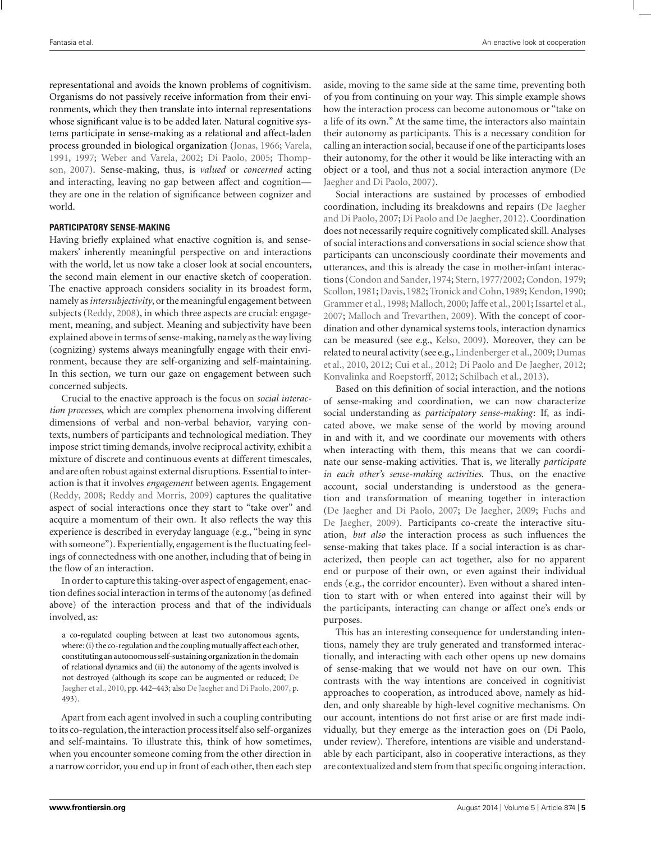representational and avoids the known problems of cognitivism. Organisms do not passively receive information from their environments, which they then translate into internal representations whose significant value is to be added later. Natural cognitive systems participate in sense-making as a relational and affect-laden process grounded in biological organization [\(Jonas](#page-9-0), [1966](#page-9-0); [Varela,](#page-10-0) [1991,](#page-10-0) [1997;](#page-10-0) [Weber and Varela, 2002;](#page-10-0) [Di Paolo](#page-8-0), [2005](#page-8-0); Thompson, [2007\)](#page-10-0). Sense-making, thus, is *valued* or *concerned* acting and interacting, leaving no gap between affect and cognition they are one in the relation of significance between cognizer and world.

#### **PARTICIPATORY SENSE-MAKING**

Having briefly explained what enactive cognition is, and sensemakers' inherently meaningful perspective on and interactions with the world, let us now take a closer look at social encounters, the second main element in our enactive sketch of cooperation. The enactive approach considers sociality in its broadest form, namely as*intersubjectivity*, or the meaningful engagement between subjects [\(Reddy, 2008\)](#page-9-0), in which three aspects are crucial: engagement, meaning, and subject. Meaning and subjectivity have been explained above in terms of sense-making, namely as the way living (cognizing) systems always meaningfully engage with their environment, because they are self-organizing and self-maintaining. In this section, we turn our gaze on engagement between such concerned subjects.

Crucial to the enactive approach is the focus on *social interaction processes*, which are complex phenomena involving different dimensions of verbal and non-verbal behavior, varying contexts, numbers of participants and technological mediation. They impose strict timing demands, involve reciprocal activity, exhibit a mixture of discrete and continuous events at different timescales, and are often robust against external disruptions. Essential to interaction is that it involves *engagement* between agents. Engagement [\(Reddy, 2008;](#page-9-0) [Reddy and Morris](#page-9-0), [2009\)](#page-9-0) captures the qualitative aspect of social interactions once they start to "take over" and acquire a momentum of their own. It also reflects the way this experience is described in everyday language (e.g., "being in sync with someone"). Experientially, engagement is the fluctuating feelings of connectedness with one another, including that of being in the flow of an interaction.

In order to capture this taking-over aspect of engagement, enaction defines social interaction in terms of the autonomy (as defined above) of the interaction process and that of the individuals involved, as:

a co-regulated coupling between at least two autonomous agents, where: (i) the co-regulation and the coupling mutually affect each other, constituting an autonomous self-sustaining organization in the domain of relational dynamics and (ii) the autonomy of the agents involved is not destroy[ed](#page-8-0) [\(although](#page-8-0) [its](#page-8-0) [scope](#page-8-0) [can](#page-8-0) [be](#page-8-0) [augmented](#page-8-0) [or](#page-8-0) [reduced;](#page-8-0) De Jaegher et al., [2010,](#page-8-0) pp. 442–443; also [De Jaegher and Di Paolo, 2007,](#page-8-0) p. 493).

Apart from each agent involved in such a coupling contributing to its co-regulation, the interaction process itself also self-organizes and self-maintains. To illustrate this, think of how sometimes, when you encounter someone coming from the other direction in a narrow corridor, you end up in front of each other, then each step aside, moving to the same side at the same time, preventing both of you from continuing on your way. This simple example shows how the interaction process can become autonomous or "take on a life of its own." At the same time, the interactors also maintain their autonomy as participants. This is a necessary condition for calling an interaction social, because if one of the participants loses their autonomy, for the other it would be like interacting with an object or a tool, an[d thus not a social interaction anymore \(](#page-8-0)De Jaegher and Di Paolo, [2007](#page-8-0)).

Social interactions are sustained by processes of embodied coordinatio[n, including its breakdowns and repairs \(](#page-8-0)De Jaegher and Di Paolo, [2007;](#page-8-0) [Di Paolo and De Jaegher, 2012\)](#page-8-0). Coordination does not necessarily require cognitively complicated skill. Analyses of social interactions and conversations in social science show that participants can unconsciously coordinate their movements and utterances, and this is already the case in mother-infant interactions [\(Condon and Sander, 1974;](#page-8-0) [Stern](#page-9-0), [1977/2002](#page-9-0); [Condon](#page-8-0), [1979;](#page-8-0) [Scollon](#page-9-0),[1981;](#page-9-0) [Davis,1982;](#page-8-0) [Tronick and Cohn,1989](#page-10-0); [Kendon](#page-9-0),[1990;](#page-9-0) [Grammer et al.](#page-8-0), [1998;](#page-8-0) [Malloch, 2000;](#page-9-0) [Jaffe et al., 2001;](#page-8-0) [Issartel et al.,](#page-8-0) [2007](#page-8-0); [Malloch and Trevarthen, 2009\)](#page-9-0). With the concept of coordination and other dynamical systems tools, interaction dynamics can be measured (see e.g., [Kelso, 2009](#page-9-0)). Moreover, they can be relat[ed to neural activity \(see e.g.,](#page-8-0) [Lindenberger et al.](#page-9-0), [2009;](#page-9-0) Dumas et al., [2010](#page-8-0), [2012;](#page-8-0) [Cui et al.](#page-8-0), [2012;](#page-8-0) [Di Paolo and De Jaegher](#page-8-0), [2012;](#page-8-0) [Konvalinka and Roepstorff, 2012](#page-9-0); [Schilbach et al.](#page-9-0), [2013\)](#page-9-0).

Based on this definition of social interaction, and the notions of sense-making and coordination, we can now characterize social understanding as *participatory sense-making*: If, as indicated above, we make sense of the world by moving around in and with it, and we coordinate our movements with others when interacting with them, this means that we can coordinate our sense-making activities. That is, we literally *participate in each other's sense-making activities*. Thus, on the enactive account, social understanding is understood as the generation and transformation of meaning together in interaction [\(De Jaegher and Di Paolo, 2007;](#page-8-0) [De Jaegher](#page-8-0), [2009;](#page-8-0) Fuchs and De Jaegher, [2009](#page-8-0)). Participants co-create the interactive situation, *but also* the interaction process as such influences the sense-making that takes place. If a social interaction is as characterized, then people can act together, also for no apparent end or purpose of their own, or even against their individual ends (e.g., the corridor encounter). Even without a shared intention to start with or when entered into against their will by the participants, interacting can change or affect one's ends or purposes.

This has an interesting consequence for understanding intentions, namely they are truly generated and transformed interactionally, and interacting with each other opens up new domains of sense-making that we would not have on our own. This contrasts with the way intentions are conceived in cognitivist approaches to cooperation, as introduced above, namely as hidden, and only shareable by high-level cognitive mechanisms. On our account, intentions do not first arise or are first made individually, but they emerge as the interaction goes on (Di Paolo, under review). Therefore, intentions are visible and understandable by each participant, also in cooperative interactions, as they are contextualized and stemfrom that specific ongoing interaction.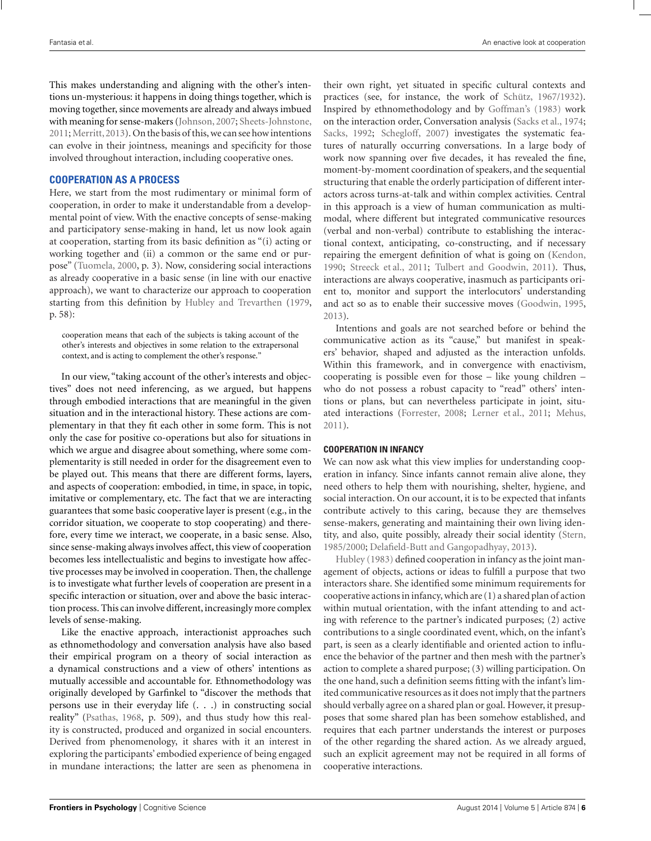This makes understanding and aligning with the other's intentions un-mysterious: it happens in doing things together, which is moving together, since movements are already and always imbued with meaning for sense-makers [\(Johnson, 2007](#page-9-0); [Sheets-Johnstone,](#page-9-0) [2011;](#page-9-0) [Merritt,2013](#page-9-0)). On the basis of this, we can see how intentions can evolve in their jointness, meanings and specificity for those involved throughout interaction, including cooperative ones.

## **COOPERATION AS A PROCESS**

Here, we start from the most rudimentary or minimal form of cooperation, in order to make it understandable from a developmental point of view. With the enactive concepts of sense-making and participatory sense-making in hand, let us now look again at cooperation, starting from its basic definition as "(i) acting or working together and (ii) a common or the same end or purpose" [\(Tuomela, 2000,](#page-10-0) p. 3). Now, considering social interactions as already cooperative in a basic sense (in line with our enactive approach), we want to characterize our approach to cooperation starting from this definition by [Hubley and Trevarthen](#page-8-0) [\(1979,](#page-8-0) p. 58):

cooperation means that each of the subjects is taking account of the other's interests and objectives in some relation to the extrapersonal context, and is acting to complement the other's response."

In our view, "taking account of the other's interests and objectives" does not need inferencing, as we argued, but happens through embodied interactions that are meaningful in the given situation and in the interactional history. These actions are complementary in that they fit each other in some form. This is not only the case for positive co-operations but also for situations in which we argue and disagree about something, where some complementarity is still needed in order for the disagreement even to be played out. This means that there are different forms, layers, and aspects of cooperation: embodied, in time, in space, in topic, imitative or complementary, etc. The fact that we are interacting guarantees that some basic cooperative layer is present (e.g., in the corridor situation, we cooperate to stop cooperating) and therefore, every time we interact, we cooperate, in a basic sense. Also, since sense-making always involves affect, this view of cooperation becomes less intellectualistic and begins to investigate how affective processes may be involved in cooperation. Then, the challenge is to investigate what further levels of cooperation are present in a specific interaction or situation, over and above the basic interaction process. This can involve different, increasingly more complex levels of sense-making.

Like the enactive approach, interactionist approaches such as ethnomethodology and conversation analysis have also based their empirical program on a theory of social interaction as a dynamical constructions and a view of others' intentions as mutually accessible and accountable for. Ethnomethodology was originally developed by Garfinkel to "discover the methods that persons use in their everyday life (. . .) in constructing social reality" [\(Psathas, 1968,](#page-9-0) p. 509), and thus study how this reality is constructed, produced and organized in social encounters. Derived from phenomenology, it shares with it an interest in exploring the participants' embodied experience of being engaged in mundane interactions; the latter are seen as phenomena in their own right, yet situated in specific cultural contexts and practices (see, for instance, the work of [Schütz](#page-9-0), [1967/1932](#page-9-0)). Inspired by ethnomethodology and by [Goffman'](#page-8-0)s [\(1983](#page-8-0)) work on the interaction order, Conversation analysis [\(Sacks et al.](#page-9-0), [1974;](#page-9-0) [Sacks, 1992](#page-9-0); [Schegloff, 2007\)](#page-9-0) investigates the systematic features of naturally occurring conversations. In a large body of work now spanning over five decades, it has revealed the fine, moment-by-moment coordination of speakers, and the sequential structuring that enable the orderly participation of different interactors across turns-at-talk and within complex activities. Central in this approach is a view of human communication as multimodal, where different but integrated communicative resources (verbal and non-verbal) contribute to establishing the interactional context, anticipating, co-constructing, and if necessary repairing the emergent definition of what is going on [\(Kendon,](#page-9-0) [1990](#page-9-0); [Streeck et al.](#page-9-0), [2011](#page-9-0); [Tulbert and Goodwin, 2011](#page-10-0)). Thus, interactions are always cooperative, inasmuch as participants orient to, monitor and support the interlocutors' understanding and act so as to enable their successive moves [\(Goodwin, 1995,](#page-8-0) [2013](#page-8-0)).

Intentions and goals are not searched before or behind the communicative action as its "cause," but manifest in speakers' behavior, shaped and adjusted as the interaction unfolds. Within this framework, and in convergence with enactivism, cooperating is possible even for those – like young children – who do not possess a robust capacity to "read" others' intentions or plans, but can nevertheless participate in joint, situated interactions [\(Forrester, 2008](#page-8-0); [Lerner et al., 2011;](#page-9-0) [Mehus,](#page-9-0) [2011](#page-9-0)).

#### **COOPERATION IN INFANCY**

We can now ask what this view implies for understanding cooperation in infancy. Since infants cannot remain alive alone, they need others to help them with nourishing, shelter, hygiene, and social interaction. On our account, it is to be expected that infants contribute actively to this caring, because they are themselves sense-makers, generating and maintaining their own living identity, and also, quite possibly, already their social identity [\(Stern,](#page-9-0) [1985/2000;](#page-9-0) [Delafield-Butt and Gangopadhyay, 2013](#page-8-0)).

Hubley [\(1983\)](#page-8-0) defined cooperation in infancy as the joint management of objects, actions or ideas to fulfill a purpose that two interactors share. She identified some minimum requirements for cooperative actions in infancy, which are (1) a shared plan of action within mutual orientation, with the infant attending to and acting with reference to the partner's indicated purposes; (2) active contributions to a single coordinated event, which, on the infant's part, is seen as a clearly identifiable and oriented action to influence the behavior of the partner and then mesh with the partner's action to complete a shared purpose; (3) willing participation. On the one hand, such a definition seems fitting with the infant's limited communicative resources as it does not imply that the partners should verbally agree on a shared plan or goal. However, it presupposes that some shared plan has been somehow established, and requires that each partner understands the interest or purposes of the other regarding the shared action. As we already argued, such an explicit agreement may not be required in all forms of cooperative interactions.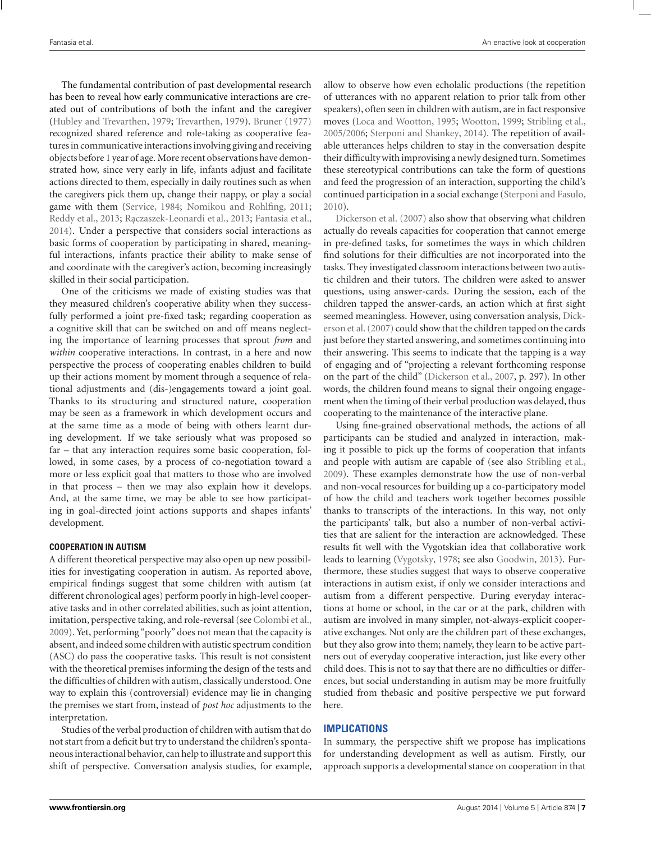The fundamental contribution of past developmental research has been to reveal how early communicative interactions are created out of contributions of both the infant and the caregiver [\(Hubley and Trevarthen](#page-8-0), [1979;](#page-8-0) [Trevarthen](#page-10-0), [1979\)](#page-10-0). [Bruner](#page-8-0) [\(1977](#page-8-0)) recognized shared reference and role-taking as cooperative features in communicative interactions involving giving and receiving objects before 1 year of age. More recent observations have demonstrated how, since very early in life, infants adjust and facilitate actions directed to them, especially in daily routines such as when the caregivers pick them up, change their nappy, or play a social game with them [\(Service](#page-9-0), [1984](#page-9-0); [Nomikou and Rohlfing, 2011;](#page-9-0) [Reddy et al., 2013;](#page-9-0) Rączaszek-Leonardi et al., 2013; [Fantasia et al.](#page-8-0), [2014\)](#page-8-0). Under a perspective that considers social interactions as basic forms of cooperation by participating in shared, meaningful interactions, infants practice their ability to make sense of and coordinate with the caregiver's action, becoming increasingly skilled in their social participation.

One of the criticisms we made of existing studies was that they measured children's cooperative ability when they successfully performed a joint pre-fixed task; regarding cooperation as a cognitive skill that can be switched on and off means neglecting the importance of learning processes that sprout *from* and *within* cooperative interactions. In contrast, in a here and now perspective the process of cooperating enables children to build up their actions moment by moment through a sequence of relational adjustments and (dis-)engagements toward a joint goal. Thanks to its structuring and structured nature, cooperation may be seen as a framework in which development occurs and at the same time as a mode of being with others learnt during development. If we take seriously what was proposed so far – that any interaction requires some basic cooperation, followed, in some cases, by a process of co-negotiation toward a more or less explicit goal that matters to those who are involved in that process – then we may also explain how it develops. And, at the same time, we may be able to see how participating in goal-directed joint actions supports and shapes infants' development.

# **COOPERATION IN AUTISM**

A different theoretical perspective may also open up new possibilities for investigating cooperation in autism. As reported above, empirical findings suggest that some children with autism (at different chronological ages) perform poorly in high-level cooperative tasks and in other correlated abilities, such as joint attention, imitation, perspective taking, and role-reversal (see [Colombi et al.,](#page-8-0) [2009\)](#page-8-0). Yet, performing "poorly" does not mean that the capacity is absent, and indeed some children with autistic spectrum condition (ASC) do pass the cooperative tasks. This result is not consistent with the theoretical premises informing the design of the tests and the difficulties of children with autism, classically understood. One way to explain this (controversial) evidence may lie in changing the premises we start from, instead of *post hoc* adjustments to the interpretation.

Studies of the verbal production of children with autism that do not start from a deficit but try to understand the children's spontaneous interactional behavior, can help to illustrate and support this shift of perspective. Conversation analysis studies, for example, allow to observe how even echolalic productions (the repetition of utterances with no apparent relation to prior talk from other speakers), often seen in children with autism, are in fact responsive moves [\(Loca and Wootton](#page-9-0), [1995](#page-9-0); [Wootton, 1999;](#page-10-0) [Stribling et al.,](#page-9-0) [2005/2006;](#page-9-0) [Sterponi and Shankey, 2014](#page-9-0)). The repetition of available utterances helps children to stay in the conversation despite their difficulty with improvising a newly designed turn. Sometimes these stereotypical contributions can take the form of questions and feed the progression of an interaction, supporting the child's continued participation in a social exchange [\(Sterponi and Fasulo,](#page-9-0) [2010](#page-9-0)[\).](#page-8-0)

Dickerson et al. [\(2007\)](#page-8-0) also show that observing what children actually do reveals capacities for cooperation that cannot emerge in pre-defined tasks, for sometimes the ways in which children find solutions for their difficulties are not incorporated into the tasks. They investigated classroom interactions between two autistic children and their tutors. The children were asked to answer questions, using answer-cards. During the session, each of the children tapped the answer-cards, an action which at first sight seemed m[eaningless.](#page-8-0) [However,](#page-8-0) [using](#page-8-0) [conversation](#page-8-0) [analysis,](#page-8-0) Dickerson et al. [\(2007](#page-8-0)) could show that the children tapped on the cards just before they started answering, and sometimes continuing into their answering. This seems to indicate that the tapping is a way of engaging and of "projecting a relevant forthcoming response on the part of the child" [\(Dickerson et al., 2007,](#page-8-0) p. 297). In other words, the children found means to signal their ongoing engagement when the timing of their verbal production was delayed, thus cooperating to the maintenance of the interactive plane.

Using fine-grained observational methods, the actions of all participants can be studied and analyzed in interaction, making it possible to pick up the forms of cooperation that infants and people with autism are capable of (see also [Stribling et al.,](#page-9-0) [2009](#page-9-0)). These examples demonstrate how the use of non-verbal and non-vocal resources for building up a co-participatory model of how the child and teachers work together becomes possible thanks to transcripts of the interactions. In this way, not only the participants' talk, but also a number of non-verbal activities that are salient for the interaction are acknowledged. These results fit well with the Vygotskian idea that collaborative work leads to learning [\(Vygotsky, 1978](#page-10-0); see also [Goodwin, 2013\)](#page-8-0). Furthermore, these studies suggest that ways to observe cooperative interactions in autism exist, if only we consider interactions and autism from a different perspective. During everyday interactions at home or school, in the car or at the park, children with autism are involved in many simpler, not-always-explicit cooperative exchanges. Not only are the children part of these exchanges, but they also grow into them; namely, they learn to be active partners out of everyday cooperative interaction, just like every other child does. This is not to say that there are no difficulties or differences, but social understanding in autism may be more fruitfully studied from thebasic and positive perspective we put forward here.

# **IMPLICATIONS**

In summary, the perspective shift we propose has implications for understanding development as well as autism. Firstly, our approach supports a developmental stance on cooperation in that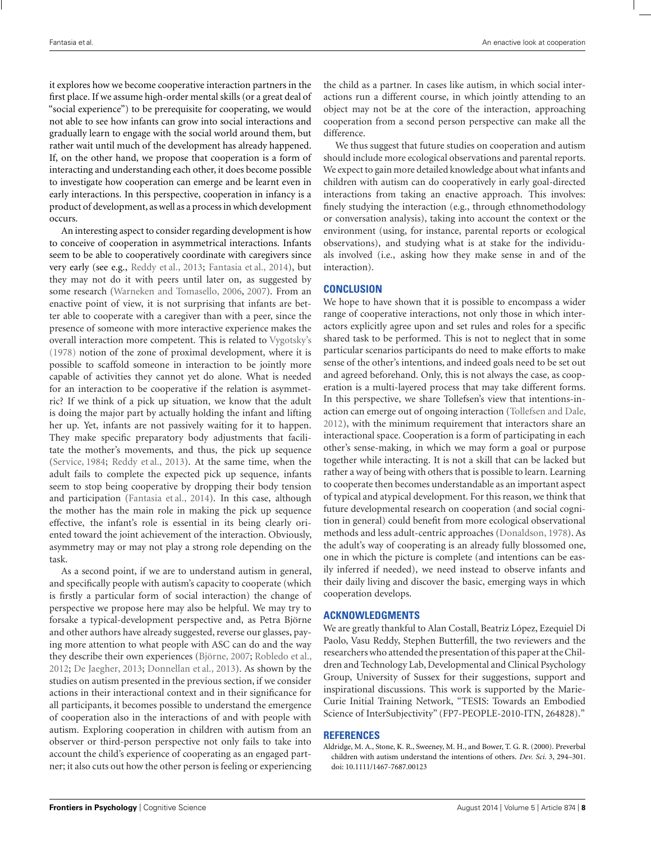<span id="page-7-0"></span>it explores how we become cooperative interaction partners in the first place. If we assume high-order mental skills (or a great deal of "social experience") to be prerequisite for cooperating, we would not able to see how infants can grow into social interactions and gradually learn to engage with the social world around them, but rather wait until much of the development has already happened. If, on the other hand, we propose that cooperation is a form of interacting and understanding each other, it does become possible to investigate how cooperation can emerge and be learnt even in early interactions. In this perspective, cooperation in infancy is a product of development, as well as a process in which development occurs.

An interesting aspect to consider regarding development is how to conceive of cooperation in asymmetrical interactions. Infants seem to be able to cooperatively coordinate with caregivers since very early (see e.g., [Reddy et al.](#page-9-0), [2013;](#page-9-0) [Fantasia et al., 2014](#page-8-0)), but they may not do it with peers until later on, as suggested by some research [\(Warneken and Tomasello](#page-10-0), [2006](#page-10-0), [2007\)](#page-10-0). From an enactive point of view, it is not surprising that infants are better able to cooperate with a caregiver than with a peer, since the presence of someone with more interactive experience makes the overall interaction more competent. This is related to [Vygotsky'](#page-10-0)s [\(1978](#page-10-0)) notion of the zone of proximal development, where it is possible to scaffold someone in interaction to be jointly more capable of activities they cannot yet do alone. What is needed for an interaction to be cooperative if the relation is asymmetric? If we think of a pick up situation, we know that the adult is doing the major part by actually holding the infant and lifting her up. Yet, infants are not passively waiting for it to happen. They make specific preparatory body adjustments that facilitate the mother's movements, and thus, the pick up sequence [\(Service, 1984](#page-9-0); [Reddy et al., 2013\)](#page-9-0). At the same time, when the adult fails to complete the expected pick up sequence, infants seem to stop being cooperative by dropping their body tension and participation [\(Fantasia et al.](#page-8-0), [2014](#page-8-0)). In this case, although the mother has the main role in making the pick up sequence effective, the infant's role is essential in its being clearly oriented toward the joint achievement of the interaction. Obviously, asymmetry may or may not play a strong role depending on the task.

As a second point, if we are to understand autism in general, and specifically people with autism's capacity to cooperate (which is firstly a particular form of social interaction) the change of perspective we propose here may also be helpful. We may try to forsake a typical-development perspective and, as Petra Björne and other authors have already suggested, reverse our glasses, paying more attention to what people with ASC can do and the way they describe their own experiences [\(Björne, 2007](#page-8-0); [Robledo et al.,](#page-9-0) [2012;](#page-9-0) [De Jaegher, 2013;](#page-8-0) [Donnellan et al., 2013\)](#page-8-0). As shown by the studies on autism presented in the previous section, if we consider actions in their interactional context and in their significance for all participants, it becomes possible to understand the emergence of cooperation also in the interactions of and with people with autism. Exploring cooperation in children with autism from an observer or third-person perspective not only fails to take into account the child's experience of cooperating as an engaged partner; it also cuts out how the other person is feeling or experiencing the child as a partner. In cases like autism, in which social interactions run a different course, in which jointly attending to an object may not be at the core of the interaction, approaching cooperation from a second person perspective can make all the difference.

We thus suggest that future studies on cooperation and autism should include more ecological observations and parental reports. We expect to gain more detailed knowledge about what infants and children with autism can do cooperatively in early goal-directed interactions from taking an enactive approach. This involves: finely studying the interaction (e.g., through ethnomethodology or conversation analysis), taking into account the context or the environment (using, for instance, parental reports or ecological observations), and studying what is at stake for the individuals involved (i.e., asking how they make sense in and of the interaction).

## **CONCLUSION**

We hope to have shown that it is possible to encompass a wider range of cooperative interactions, not only those in which interactors explicitly agree upon and set rules and roles for a specific shared task to be performed. This is not to neglect that in some particular scenarios participants do need to make efforts to make sense of the other's intentions, and indeed goals need to be set out and agreed beforehand. Only, this is not always the case, as cooperation is a multi-layered process that may take different forms. In this perspective, we share Tollefsen's view that intentions-inaction can emerge out of ongoing interaction [\(Tollefsen and Dale,](#page-10-0) [2012](#page-10-0)), with the minimum requirement that interactors share an interactional space. Cooperation is a form of participating in each other's sense-making, in which we may form a goal or purpose together while interacting. It is not a skill that can be lacked but rather a way of being with others that is possible to learn. Learning to cooperate then becomes understandable as an important aspect of typical and atypical development. For this reason, we think that future developmental research on cooperation (and social cognition in general) could benefit from more ecological observational methods and less adult-centric approaches [\(Donaldson, 1978\)](#page-8-0). As the adult's way of cooperating is an already fully blossomed one, one in which the picture is complete (and intentions can be easily inferred if needed), we need instead to observe infants and their daily living and discover the basic, emerging ways in which cooperation develops.

## **ACKNOWLEDGMENTS**

We are greatly thankful to Alan Costall, Beatriz López, Ezequiel Di Paolo, Vasu Reddy, Stephen Butterfill, the two reviewers and the researchers who attended the presentation of this paper at the Children and Technology Lab, Developmental and Clinical Psychology Group, University of Sussex for their suggestions, support and inspirational discussions. This work is supported by the Marie-Curie Initial Training Network, "TESIS: Towards an Embodied Science of InterSubjectivity" (FP7-PEOPLE-2010-ITN, 264828)."

#### **REFERENCES**

Aldridge, M. A., Stone, K. R., Sweeney, M. H., and Bower, T. G. R. (2000). Preverbal children with autism understand the intentions of others. *Dev. Sci.* 3, 294–301. doi: 10.1111/1467-7687.00123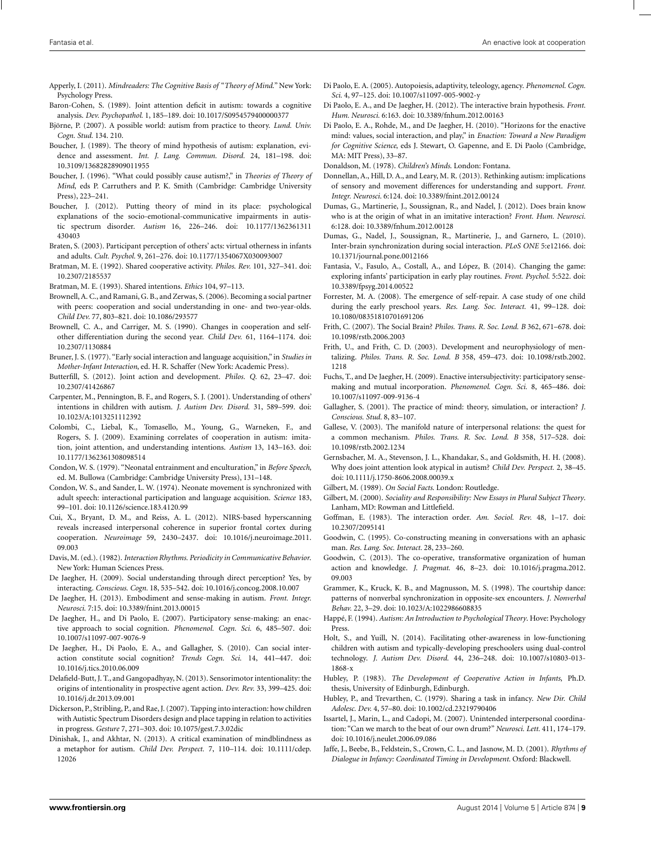- <span id="page-8-0"></span>Apperly, I. (2011). *Mindreaders: The Cognitive Basis of* "*Theory of Mind*." New York: Psychology Press.
- Baron-Cohen, S. (1989). Joint attention deficit in autism: towards a cognitive analysis. *Dev. Psychopathol.* 1, 185–189. doi: 10.1017/S0954579400000377
- Björne, P. (2007). A possible world: autism from practice to theory. *Lund. Univ. Cogn. Stud.* 134. 210.
- Boucher, J. (1989). The theory of mind hypothesis of autism: explanation, evidence and assessment. *Int. J. Lang. Commun. Disord.* 24, 181–198. doi: 10.3109/13682828909011955
- Boucher, J. (1996). "What could possibly cause autism?," in *Theories of Theory of Mind*, eds P. Carruthers and P. K. Smith (Cambridge: Cambridge University Press), 223–241.
- Boucher, J. (2012). Putting theory of mind in its place: psychological explanations of the socio-emotional-communicative impairments in autistic spectrum disorder. *Autism* 16, 226–246. doi: 10.1177/1362361311 430403
- Braten, S. (2003). Participant perception of others' acts: virtual otherness in infants and adults. *Cult. Psychol.* 9, 261–276. doi: 10.1177/1354067X030093007
- Bratman, M. E. (1992). Shared cooperative activity. *Philos. Rev.* 101, 327–341. doi: 10.2307/2185537
- Bratman, M. E. (1993). Shared intentions. *Ethics* 104, 97–113.
- Brownell, A. C., and Ramani, G. B., and Zerwas, S. (2006). Becoming a social partner with peers: cooperation and social understanding in one- and two-year-olds. *Child Dev.* 77, 803–821. doi: 10.1086/293577
- Brownell, C. A., and Carriger, M. S. (1990). Changes in cooperation and selfother differentiation during the second year. *Child Dev.* 61, 1164–1174. doi: 10.2307/1130884
- Bruner, J. S. (1977). "Early social interaction and language acquisition," in *Studies in Mother-Infant Interaction*, ed. H. R. Schaffer (New York: Academic Press).
- Butterfill, S. (2012). Joint action and development. *Philos. Q.* 62, 23–47. doi: 10.2307/41426867
- Carpenter, M., Pennington, B. F., and Rogers, S. J. (2001). Understanding of others' intentions in children with autism. *J. Autism Dev. Disord.* 31, 589–599. doi: 10.1023/A:1013251112392
- Colombi, C., Liebal, K., Tomasello, M., Young, G., Warneken, F., and Rogers, S. J. (2009). Examining correlates of cooperation in autism: imitation, joint attention, and understanding intentions. *Autism* 13, 143–163. doi: 10.1177/1362361308098514
- Condon, W. S. (1979). "Neonatal entrainment and enculturation," in *Before Speech,* ed. M. Bullowa (Cambridge: Cambridge University Press), 131–148.
- Condon, W. S., and Sander, L. W. (1974). Neonate movement is synchronized with adult speech: interactional participation and language acquisition. *Science* 183, 99–101. doi: 10.1126/science.183.4120.99
- Cui, X., Bryant, D. M., and Reiss, A. L. (2012). NIRS-based hyperscanning reveals increased interpersonal coherence in superior frontal cortex during cooperation. *Neuroimage* 59, 2430–2437. doi: 10.1016/j.neuroimage.2011. 09.003
- Davis, M. (ed.). (1982). *Interaction Rhythms. Periodicity in Communicative Behavior*. New York: Human Sciences Press.
- De Jaegher, H. (2009). Social understanding through direct perception? Yes, by interacting. *Conscious. Cogn.* 18, 535–542. doi: 10.1016/j.concog.2008.10.007
- De Jaegher, H. (2013). Embodiment and sense-making in autism. *Front. Integr. Neurosci.* 7:15. doi: 10.3389/fnint.2013.00015
- De Jaegher, H., and Di Paolo, E. (2007). Participatory sense-making: an enactive approach to social cognition. *Phenomenol. Cogn. Sci.* 6, 485–507. doi: 10.1007/s11097-007-9076-9
- De Jaegher, H., Di Paolo, E. A., and Gallagher, S. (2010). Can social interaction constitute social cognition? *Trends Cogn. Sci.* 14, 441–447. doi: 10.1016/j.tics.2010.06.009
- Delafield-Butt, J. T., and Gangopadhyay, N. (2013). Sensorimotor intentionality: the origins of intentionality in prospective agent action. *Dev. Rev.* 33, 399–425. doi: 10.1016/j.dr.2013.09.001
- Dickerson, P., Stribling, P., and Rae, J. (2007). Tapping into interaction: how children with Autistic Spectrum Disorders design and place tapping in relation to activities in progress. *Gesture* 7, 271–303. doi: 10.1075/gest.7.3.02dic
- Dinishak, J., and Akhtar, N. (2013). A critical examination of mindblindness as a metaphor for autism. *Child Dev. Perspect.* 7, 110–114. doi: 10.1111/cdep. 12026
- Di Paolo, E. A. (2005). Autopoiesis, adaptivity, teleology, agency. *Phenomenol. Cogn. Sci.* 4, 97–125. doi: 10.1007/s11097-005-9002-y
- Di Paolo, E. A., and De Jaegher, H. (2012). The interactive brain hypothesis. *Front. Hum. Neurosci.* 6:163. doi: 10.3389/fnhum.2012.00163
- Di Paolo, E. A., Rohde, M., and De Jaegher, H. (2010). "Horizons for the enactive mind: values, social interaction, and play," in *Enaction: Toward a New Paradigm for Cognitive Science*, eds J. Stewart, O. Gapenne, and E. Di Paolo (Cambridge, MA: MIT Press), 33–87.
- Donaldson, M. (1978). *Children's Minds*. London: Fontana.
- Donnellan, A., Hill, D. A., and Leary, M. R. (2013). Rethinking autism: implications of sensory and movement differences for understanding and support. *Front. Integr. Neurosci.* 6:124. doi: 10.3389/fnint.2012.00124
- Dumas, G., Martinerie, J., Soussignan, R., and Nadel, J. (2012). Does brain know who is at the origin of what in an imitative interaction? *Front. Hum. Neurosci.* 6:128. doi: 10.3389/fnhum.2012.00128
- Dumas, G., Nadel, J., Soussignan, R., Martinerie, J., and Garnero, L. (2010). Inter-brain synchronization during social interaction. *PLoS ONE* 5:e12166. doi: 10.1371/journal.pone.0012166
- Fantasia, V., Fasulo, A., Costall, A., and López, B. (2014). Changing the game: exploring infants' participation in early play routines. *Front. Psychol.* 5:522. doi: 10.3389/fpsyg.2014.00522
- Forrester, M. A. (2008). The emergence of self-repair. A case study of one child during the early preschool years. *Res. Lang. Soc. Interact.* 41, 99–128. doi: 10.1080/08351810701691206
- Frith, C. (2007). The Social Brain? *Philos. Trans. R. Soc. Lond. B* 362, 671–678. doi: 10.1098/rstb.2006.2003
- Frith, U., and Frith, C. D. (2003). Development and neurophysiology of mentalizing. *Philos. Trans. R. Soc. Lond. B* 358, 459–473. doi: 10.1098/rstb.2002. 1218
- Fuchs, T., and De Jaegher, H. (2009). Enactive intersubjectivity: participatory sensemaking and mutual incorporation. *Phenomenol. Cogn. Sci.* 8, 465–486. doi: 10.1007/s11097-009-9136-4
- Gallagher, S. (2001). The practice of mind: theory, simulation, or interaction? *J. Conscious. Stud.* 8, 83–107.
- Gallese, V. (2003). The manifold nature of interpersonal relations: the quest for a common mechanism. *Philos. Trans. R. Soc. Lond. B* 358, 517–528. doi: 10.1098/rstb.2002.1234
- Gernsbacher, M. A., Stevenson, J. L., Khandakar, S., and Goldsmith, H. H. (2008). Why does joint attention look atypical in autism? *Child Dev. Perspect.* 2, 38–45. doi: 10.1111/j.1750-8606.2008.00039.x
- Gilbert, M. (1989). *On Social Facts*. London: Routledge.
- Gilbert, M. (2000). *Sociality and Responsibility: New Essays in Plural Subject Theory*. Lanham, MD: Rowman and Littlefield.
- Goffman, E. (1983). The interaction order. *Am. Sociol. Rev.* 48, 1–17. doi: 10.2307/2095141
- Goodwin, C. (1995). Co-constructing meaning in conversations with an aphasic man. *Res. Lang. Soc. Interact.* 28, 233–260.
- Goodwin, C. (2013). The co-operative, transformative organization of human action and knowledge. *J. Pragmat.* 46, 8–23. doi: 10.1016/j.pragma.2012. 09.003
- Grammer, K., Kruck, K. B., and Magnusson, M. S. (1998). The courtship dance: patterns of nonverbal synchronization in opposite-sex encounters. *J. Nonverbal Behav.* 22, 3–29. doi: 10.1023/A:1022986608835
- Happé, F. (1994). *Autism: An Introduction to Psychological Theory*. Hove: Psychology Press.
- Holt, S., and Yuill, N. (2014). Facilitating other-awareness in low-functioning children with autism and typically-developing preschoolers using dual-control technology. *J. Autism Dev. Disord.* 44, 236–248. doi: 10.1007/s10803-013- 1868-x
- Hubley, P. (1983). *The Development of Cooperative Action in Infants*, Ph.D. thesis, University of Edinburgh, Edinburgh.
- Hubley, P., and Trevarthen, C. (1979). Sharing a task in infancy. *New Dir. Child Adolesc. Dev.* 4, 57–80. doi: 10.1002/cd.23219790406
- Issartel, J., Marin, L., and Cadopi, M. (2007). Unintended interpersonal coordination: "Can we march to the beat of our own drum?" *Neurosci. Lett.* 411, 174–179. doi: 10.1016/j.neulet.2006.09.086
- Jaffe, J., Beebe, B., Feldstein, S., Crown, C. L., and Jasnow, M. D. (2001). *Rhythms of Dialogue in Infancy: Coordinated Timing in Development.* Oxford: Blackwell.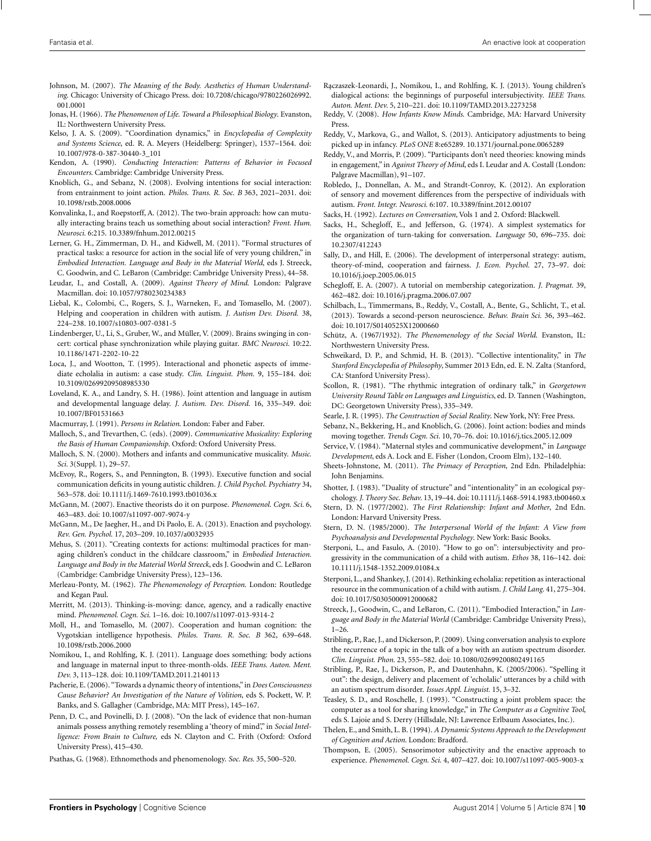- <span id="page-9-0"></span>Johnson, M. (2007). *The Meaning of the Body. Aesthetics of Human Understanding*. Chicago: University of Chicago Press. doi: 10.7208/chicago/9780226026992. 001.0001
- Jonas, H. (1966). *The Phenomenon of Life. Toward a Philosophical Biology*. Evanston, IL: Northwestern University Press.
- Kelso, J. A. S. (2009). "Coordination dynamics," in *Encyclopedia of Complexity and Systems Science*, ed. R. A. Meyers (Heidelberg: Springer), 1537–1564. doi: 10.1007/978-0-387-30440-3\_101
- Kendon, A. (1990). *Conducting Interaction: Patterns of Behavior in Focused Encounters*. Cambridge: Cambridge University Press.
- Knoblich, G., and Sebanz, N. (2008). Evolving intentions for social interaction: from entrainment to joint action. *Philos. Trans. R. Soc. B* 363, 2021–2031. doi: 10.1098/rstb.2008.0006
- Konvalinka, I., and Roepstorff, A. (2012). The two-brain approach: how can mutually interacting brains teach us something about social interaction? *Front. Hum. Neurosci.* 6:215. 10.3389/fnhum.2012.00215
- Lerner, G. H., Zimmerman, D. H., and Kidwell, M. (2011). "Formal structures of practical tasks: a resource for action in the social life of very young children," in *Embodied Interaction. Language and Body in the Material World*, eds J. Streeck, C. Goodwin, and C. LeBaron (Cambridge: Cambridge University Press), 44–58.
- Leudar, I., and Costall, A. (2009). *Against Theory of Mind*. London: Palgrave Macmillan. doi: 10.1057/9780230234383
- Liebal, K., Colombi, C., Rogers, S. J., Warneken, F., and Tomasello, M. (2007). Helping and cooperation in children with autism. *J. Autism Dev. Disord.* 38, 224–238. 10.1007/s10803-007-0381-5
- Lindenberger, U., Li, S., Gruber, W., and Müller, V. (2009). Brains swinging in concert: cortical phase synchronization while playing guitar. *BMC Neurosci.* 10:22. 10.1186/1471-2202-10-22
- Loca, J., and Wootton, T. (1995). Interactional and phonetic aspects of immediate echolalia in autism: a case study. *Clin. Linguist. Phon.* 9, 155–184. doi: 10.3109/02699209508985330
- Loveland, K. A., and Landry, S. H. (1986). Joint attention and language in autism and developmental language delay. *J. Autism. Dev. Disord.* 16, 335–349. doi: 10.1007/BF01531663
- Macmurray, J. (1991). *Persons in Relation*. London: Faber and Faber.
- Malloch, S., and Trevarthen, C. (eds). (2009). *Communicative Musicality: Exploring the Basis of Human Companionship*. Oxford: Oxford University Press.
- Malloch, S. N. (2000). Mothers and infants and communicative musicality. *Music. Sci.* 3(Suppl. 1), 29–57.
- McEvoy, R., Rogers, S., and Pennington, B. (1993). Executive function and social communication deficits in young autistic children. *J. Child Psychol. Psychiatry* 34, 563–578. doi: 10.1111/j.1469-7610.1993.tb01036.x
- McGann, M. (2007). Enactive theorists do it on purpose. *Phenomenol. Cogn. Sci.* 6, 463–483. doi: 10.1007/s11097-007-9074-y
- McGann, M., De Jaegher, H., and Di Paolo, E. A. (2013). Enaction and psychology. *Rev. Gen. Psychol.* 17, 203–209. 10.1037/a0032935
- Mehus, S. (2011). "Creating contexts for actions: multimodal practices for managing children's conduct in the childcare classroom," in *Embodied Interaction. Language and Body in the Material World Streeck*, eds J. Goodwin and C. LeBaron (Cambridge: Cambridge University Press), 123–136.
- Merleau-Ponty, M. (1962). *The Phenomenology of Perception*. London: Routledge and Kegan Paul.
- Merritt, M. (2013). Thinking-is-moving: dance, agency, and a radically enactive mind. *Phenomenol. Cogn. Sci.* 1–16. doi: 10.1007/s11097-013-9314-2
- Moll, H., and Tomasello, M. (2007). Cooperation and human cognition: the Vygotskian intelligence hypothesis. *Philos. Trans. R. Soc. B* 362, 639–648. 10.1098/rstb.2006.2000
- Nomikou, I., and Rohlfing, K. J. (2011). Language does something: body actions and language in maternal input to three-month-olds. *IEEE Trans. Auton. Ment. Dev.* 3, 113–128. doi: 10.1109/TAMD.2011.2140113
- Pacherie, E. (2006). "Towards a dynamic theory of intentions," in *Does Consciousness Cause Behavior? An Investigation of the Nature of Volition*, eds S. Pockett, W. P. Banks, and S. Gallagher (Cambridge, MA: MIT Press), 145–167.
- Penn, D. C., and Povinelli, D. J. (2008). "On the lack of evidence that non-human animals possess anything remotely resembling a 'theory of mind'," in *Social Intelligence: From Brain to Culture,* eds N. Clayton and C. Frith (Oxford: Oxford University Press), 415–430.
- Psathas, G. (1968). Ethnomethods and phenomenology. *Soc. Res.* 35, 500–520.
- Rączaszek-Leonardi, J., Nomikou, I., and Rohlfing, K. J. (2013). Young children's dialogical actions: the beginnings of purposeful intersubjectivity. *IEEE Trans. Auton. Ment. Dev.* 5, 210–221. doi: 10.1109/TAMD.2013.2273258
- Reddy, V. (2008). *How Infants Know Minds*. Cambridge, MA: Harvard University Press.
- Reddy, V., Markova, G., and Wallot, S. (2013). Anticipatory adjustments to being picked up in infancy. *PLoS ONE* 8:e65289. 10.1371/journal.pone.0065289
- Reddy, V., and Morris, P. (2009). "Participants don't need theories: knowing minds in engagement," in *Against Theory of Mind*, eds I. Leudar and A. Costall (London: Palgrave Macmillan), 91–107.
- Robledo, J., Donnellan, A. M., and Strandt-Conroy, K. (2012). An exploration of sensory and movement differences from the perspective of individuals with autism. *Front. Integr. Neurosci.* 6:107. 10.3389/fnint.2012.00107
- Sacks, H. (1992). *Lectures on Conversation,* Vols 1 and 2. Oxford: Blackwell.
- Sacks, H., Schegloff, E., and Jefferson, G. (1974). A simplest systematics for the organization of turn-taking for conversation. *Language* 50, 696–735. doi: 10.2307/412243
- Sally, D., and Hill, E. (2006). The development of interpersonal strategy: autism, theory-of-mind, cooperation and fairness. *J. Econ. Psychol.* 27, 73–97. doi: 10.1016/j.joep.2005.06.015
- Schegloff, E. A. (2007). A tutorial on membership categorization. *J. Pragmat.* 39, 462–482. doi: 10.1016/j.pragma.2006.07.007
- Schilbach, L., Timmermans, B., Reddy, V., Costall, A., Bente, G., Schlicht, T., et al. (2013). Towards a second-person neuroscience. *Behav. Brain Sci.* 36, 393–462. doi: 10.1017/S0140525X12000660
- Schütz, A. (1967/1932). *The Phenomenology of the Social World*. Evanston, IL: Northwestern University Press.
- Schweikard, D. P., and Schmid, H. B. (2013). "Collective intentionality," in *The Stanford Encyclopedia of Philosophy*, Summer 2013 Edn, ed. E. N. Zalta (Stanford, CA: Stanford University Press).
- Scollon, R. (1981). "The rhythmic integration of ordinary talk," in *Georgetown University Round Table on Languages and Linguistics*, ed. D. Tannen (Washington, DC: Georgetown University Press), 335–349.
- Searle, J. R. (1995). *The Construction of Social Reality*. New York, NY: Free Press.
- Sebanz, N., Bekkering, H., and Knoblich, G. (2006). Joint action: bodies and minds moving together. *Trends Cogn. Sci.* 10, 70–76. doi: 10.1016/j.tics.2005.12.009
- Service, V. (1984). "Maternal styles and communicative development," in *Language Development*, eds A. Lock and E. Fisher (London, Croom Elm), 132–140.
- Sheets-Johnstone, M. (2011). *The Primacy of Perception*, 2nd Edn. Philadelphia: John Benjamins.
- Shotter, J. (1983). "Duality of structure" and "intentionality" in an ecological psychology. *J. Theory Soc. Behav.* 13, 19–44. doi: 10.1111/j.1468-5914.1983.tb00460.x
- Stern, D. N. (1977/2002). *The First Relationship: Infant and Mother*, 2nd Edn. London: Harvard University Press.
- Stern, D. N. (1985/2000). *The Interpersonal World of the Infant: A View from Psychoanalysis and Developmental Psychology*. New York: Basic Books.
- Sterponi, L., and Fasulo, A. (2010). "How to go on": intersubjectivity and progressivity in the communication of a child with autism. *Ethos* 38, 116–142. doi: 10.1111/j.1548-1352.2009.01084.x
- Sterponi, L., and Shankey, J. (2014). Rethinking echolalia: repetition as interactional resource in the communication of a child with autism. *J. Child Lang.* 41, 275–304. doi: 10.1017/S0305000912000682
- Streeck, J., Goodwin, C., and LeBaron, C. (2011). "Embodied Interaction," in *Language and Body in the Material World* (Cambridge: Cambridge University Press), 1–26.
- Stribling, P., Rae, J., and Dickerson, P. (2009). Using conversation analysis to explore the recurrence of a topic in the talk of a boy with an autism spectrum disorder. *Clin. Linguist. Phon.* 23, 555–582. doi: 10.1080/02699200802491165
- Stribling, P., Rae, J., Dickerson, P., and Dautenhahn, K. (2005/2006). "Spelling it out": the design, delivery and placement of 'echolalic' utterances by a child with an autism spectrum disorder. *Issues Appl. Linguist.* 15, 3–32.
- Teasley, S. D., and Roschelle, J. (1993). "Constructing a joint problem space: the computer as a tool for sharing knowledge," in *The Computer as a Cognitive Tool*, eds S. Lajoie and S. Derry (Hillsdale, NJ: Lawrence Erlbaum Associates, Inc.).
- Thelen, E., and Smith, L. B. (1994). *A Dynamic Systems Approach to the Development of Cognition and Action*. London: Bradford.
- Thompson, E. (2005). Sensorimotor subjectivity and the enactive approach to experience. *Phenomenol. Cogn. Sci.* 4, 407–427. doi: 10.1007/s11097-005-9003-x